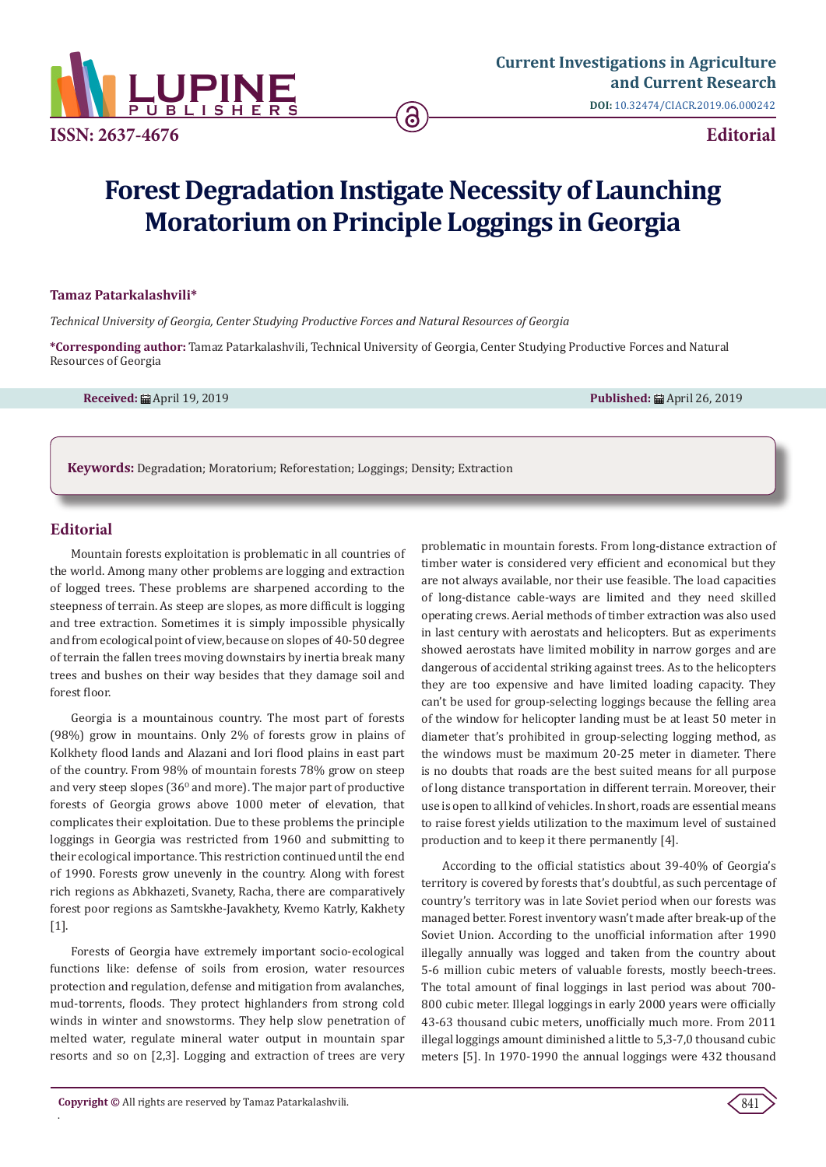

**[Current Investigations in Agriculture](https://lupinepublishers.com/agriculture-journal)  and Current Research DOI:** [10.32474/CIACR.2019.06.000242](http://dx.doi.org/10.32474/CIACR.2019.06.000242)

# **Forest Degradation Instigate Necessity of Launching Moratorium on Principle Loggings in Georgia**

# **Tamaz Patarkalashvili\***

*Technical University of Georgia, Center Studying Productive Forces and Natural Resources of Georgia*

**\*Corresponding author:** Tamaz Patarkalashvili, Technical University of Georgia, Center Studying Productive Forces and Natural Resources of Georgia

**Received:** April 19, 2019 **Published:** April 26, 2019

**Keywords:** Degradation; Moratorium; Reforestation; Loggings; Density; Extraction

# **Editorial**

.

Mountain forests exploitation is problematic in all countries of the world. Among many other problems are logging and extraction of logged trees. These problems are sharpened according to the steepness of terrain. As steep are slopes, as more difficult is logging and tree extraction. Sometimes it is simply impossible physically and from ecological point of view, because on slopes of 40-50 degree of terrain the fallen trees moving downstairs by inertia break many trees and bushes on their way besides that they damage soil and forest floor.

Georgia is a mountainous country. The most part of forests (98%) grow in mountains. Only 2% of forests grow in plains of Kolkhety flood lands and Alazani and Iori flood plains in east part of the country. From 98% of mountain forests 78% grow on steep and very steep slopes  $(36<sup>o</sup>$  and more). The major part of productive forests of Georgia grows above 1000 meter of elevation, that complicates their exploitation. Due to these problems the principle loggings in Georgia was restricted from 1960 and submitting to their ecological importance. This restriction continued until the end of 1990. Forests grow unevenly in the country. Along with forest rich regions as Abkhazeti, Svanety, Racha, there are comparatively forest poor regions as Samtskhe-Javakhety, Kvemo Katrly, Kakhety [1].

Forests of Georgia have extremely important socio-ecological functions like: defense of soils from erosion, water resources protection and regulation, defense and mitigation from avalanches, mud-torrents, floods. They protect highlanders from strong cold winds in winter and snowstorms. They help slow penetration of melted water, regulate mineral water output in mountain spar resorts and so on [2,3]. Logging and extraction of trees are very

problematic in mountain forests. From long-distance extraction of timber water is considered very efficient and economical but they are not always available, nor their use feasible. The load capacities of long-distance cable-ways are limited and they need skilled operating crews. Aerial methods of timber extraction was also used in last century with aerostats and helicopters. But as experiments showed aerostats have limited mobility in narrow gorges and are dangerous of accidental striking against trees. As to the helicopters they are too expensive and have limited loading capacity. They can't be used for group-selecting loggings because the felling area of the window for helicopter landing must be at least 50 meter in diameter that's prohibited in group-selecting logging method, as the windows must be maximum 20-25 meter in diameter. There is no doubts that roads are the best suited means for all purpose of long distance transportation in different terrain. Moreover, their use is open to all kind of vehicles. In short, roads are essential means to raise forest yields utilization to the maximum level of sustained production and to keep it there permanently [4].

According to the official statistics about 39-40% of Georgia's territory is covered by forests that's doubtful, as such percentage of country's territory was in late Soviet period when our forests was managed better. Forest inventory wasn't made after break-up of the Soviet Union. According to the unofficial information after 1990 illegally annually was logged and taken from the country about 5-6 million cubic meters of valuable forests, mostly beech-trees. The total amount of final loggings in last period was about 700- 800 cubic meter. Illegal loggings in early 2000 years were officially 43-63 thousand cubic meters, unofficially much more. From 2011 illegal loggings amount diminished a little to 5,3-7,0 thousand cubic meters [5]. In 1970-1990 the annual loggings were 432 thousand

841